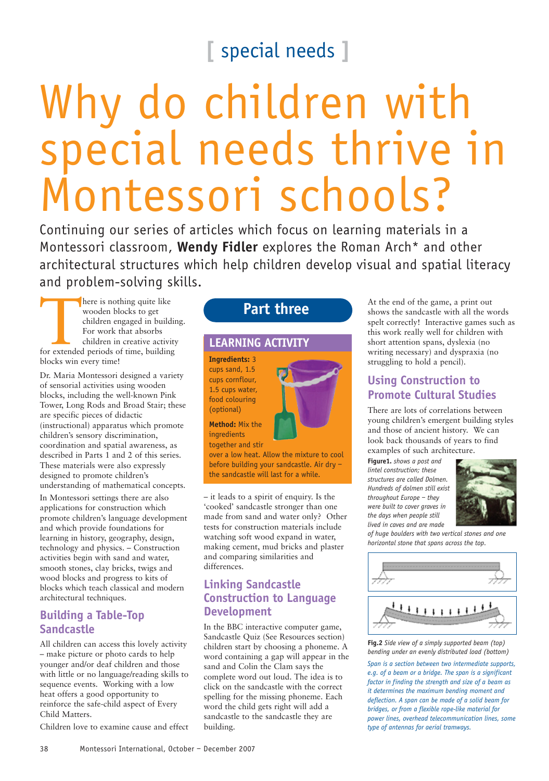# **[** special needs **]**

# Why do children with special needs thrive in Montessori schools?

Continuing our series of articles which focus on learning materials in a Montessori classroom, **Wendy Fidler** explores the Roman Arch\* and other architectural structures which help children develop visual and spatial literacy and problem-solving skills.

There is nothing quite like<br>
wooden blocks to get<br>
children engaged in buildi<br>
For work that absorbs<br>
children in creative activit<br>
for extended periods of time, building wooden blocks to get children engaged in building. For work that absorbs children in creative activity blocks win every time!

Dr. Maria Montessori designed a variety of sensorial activities using wooden blocks, including the well-known Pink Tower, Long Rods and Broad Stair; these are specific pieces of didactic (instructional) apparatus which promote children's sensory discrimination, coordination and spatial awareness, as described in Parts 1 and 2 of this series. These materials were also expressly designed to promote children's understanding of mathematical concepts.

In Montessori settings there are also applications for construction which promote children's language development and which provide foundations for learning in history, geography, design, technology and physics. – Construction activities begin with sand and water, smooth stones, clay bricks, twigs and wood blocks and progress to kits of blocks which teach classical and modern architectural techniques.

#### **Building a Table-Top Sandcastle**

All children can access this lovely activity – make picture or photo cards to help younger and/or deaf children and those with little or no language/reading skills to sequence events. Working with a low heat offers a good opportunity to reinforce the safe-child aspect of Every Child Matters.

Children love to examine cause and effect

# **Part three**

## **LEARNING ACTIVITY**

**Ingredients:** 3 cups sand, 1.5 cups cornflour, 1.5 cups water, food colouring (optional)



over a low heat. Allow the mixture to cool before building your sandcastle. Air dry – the sandcastle will last for a while.

– it leads to a spirit of enquiry. Is the 'cooked' sandcastle stronger than one made from sand and water only? Other tests for construction materials include watching soft wood expand in water, making cement, mud bricks and plaster and comparing similarities and differences.

# **Linking Sandcastle Construction to Language Development**

In the BBC interactive computer game, Sandcastle Quiz (See Resources section) children start by choosing a phoneme. A word containing a gap will appear in the sand and Colin the Clam says the complete word out loud. The idea is to click on the sandcastle with the correct spelling for the missing phoneme. Each word the child gets right will add a sandcastle to the sandcastle they are building.

At the end of the game, a print out shows the sandcastle with all the words spelt correctly! Interactive games such as this work really well for children with short attention spans, dyslexia (no writing necessary) and dyspraxia (no struggling to hold a pencil).

# **Using Construction to Promote Cultural Studies**

There are lots of correlations between young children's emergent building styles and those of ancient history. We can look back thousands of years to find examples of such architecture.

**Figure1.** *shows a post and lintel construction; these structures are called Dolmen. Hundreds of dolmen still exist throughout Europe – they were built to cover graves in the days when people still lived in caves and are made*



*of huge boulders with two vertical stones and one horizontal stone that spans across the top.*



**Fig.2** *Side view of a simply supported beam (top) bending under an evenly distributed load (bottom)*

*Span is a section between two intermediate supports, e.g. of a beam or a bridge. The span is a significant factor in finding the strength and size of a beam as it determines the maximum bending moment and deflection. A span can be made of a solid beam for bridges, or from a flexible rope-like material for power lines, overhead telecommunication lines, some type of antennas for aerial tramways.*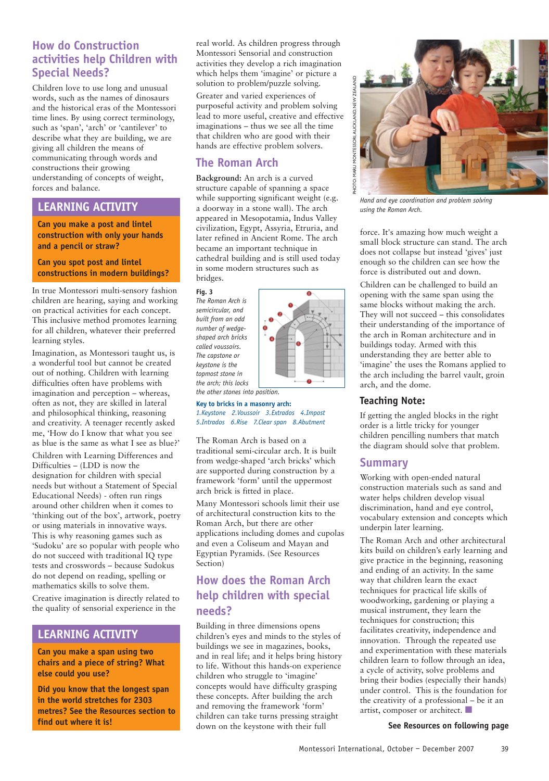#### **How do Construction activities help Children with Special Needs?**

Children love to use long and unusual words, such as the names of dinosaurs and the historical eras of the Montessori time lines. By using correct terminology, such as 'span', 'arch' or 'cantilever' to describe what they are building, we are giving all children the means of communicating through words and constructions their growing understanding of concepts of weight, forces and balance.

#### **LEARNING ACTIVITY**

**Can you make a post and lintel construction with only your hands and a pencil or straw?**

**Can you spot post and lintel constructions in modern buildings?**

In true Montessori multi-sensory fashion children are hearing, saying and working on practical activities for each concept. This inclusive method promotes learning for all children, whatever their preferred learning styles.

Imagination, as Montessori taught us, is a wonderful tool but cannot be created out of nothing. Children with learning difficulties often have problems with imagination and perception – whereas, often as not, they are skilled in lateral and philosophical thinking, reasoning and creativity. A teenager recently asked me, 'How do I know that what you see as blue is the same as what I see as blue?'

Children with Learning Differences and Difficulties – (LDD is now the designation for children with special needs but without a Statement of Special Educational Needs) - often run rings around other children when it comes to 'thinking out of the box', artwork, poetry or using materials in innovative ways. This is why reasoning games such as 'Sudoku' are so popular with people who do not succeed with traditional IQ type tests and crosswords – because Sudokus do not depend on reading, spelling or mathematics skills to solve them. Creative imagination is directly related to the quality of sensorial experience in the

#### **LEARNING ACTIVITY**

**Can you make a span using two chairs and a piece of string? What else could you use?**

**Did you know that the longest span in the world stretches for 2303 metres? See the Resources section to find out where it is!**

real world. As children progress through Montessori Sensorial and construction activities they develop a rich imagination which helps them 'imagine' or picture a solution to problem/puzzle solving.

Greater and varied experiences of purposeful activity and problem solving lead to more useful, creative and effective imaginations – thus we see all the time that children who are good with their hands are effective problem solvers.

# **The Roman Arch**

**Background:** An arch is a curved structure capable of spanning a space while supporting significant weight (e.g. a doorway in a stone wall). The arch appeared in Mesopotamia, Indus Valley civilization, Egypt, Assyria, Etruria, and later refined in Ancient Rome. The arch became an important technique in cathedral building and is still used today in some modern structures such as bridges.

**Fig. 3**

*The Roman Arch is semicircular, and built from an odd number of wedgeshaped arch bricks called voussoirs. The capstone or keystone is the topmost stone in the arch; this locks the other stones into position.*



**Key to bricks in a masonry arch:**

*1.Keystone 2.Voussoir 3.Extrados 4.Impost 5.Intrados 6.Rise 7.Clear span 8.Abutment*

The Roman Arch is based on a traditional semi-circular arch. It is built from wedge-shaped 'arch bricks' which are supported during construction by a framework 'form' until the uppermost arch brick is fitted in place.

Many Montessori schools limit their use of architectural construction kits to the Roman Arch, but there are other applications including domes and cupolas and even a Coliseum and Mayan and Egyptian Pyramids. (See Resources Section)

# **How does the Roman Arch help children with special needs?**

Building in three dimensions opens children's eyes and minds to the styles of buildings we see in magazines, books, and in real life; and it helps bring history to life. Without this hands-on experience children who struggle to 'imagine' concepts would have difficulty grasping these concepts. After building the arch and removing the framework 'form' children can take turns pressing straight down on the keystone with their full



*Hand and eye coordination and problem solving using the Roman Arch.*

force. It's amazing how much weight a small block structure can stand. The arch does not collapse but instead 'gives' just enough so the children can see how the force is distributed out and down.

Children can be challenged to build an opening with the same span using the same blocks without making the arch. They will not succeed – this consolidates their understanding of the importance of the arch in Roman architecture and in buildings today. Armed with this understanding they are better able to 'imagine' the uses the Romans applied to the arch including the barrel vault, groin arch, and the dome.

#### **Teaching Note:**

If getting the angled blocks in the right order is a little tricky for younger children pencilling numbers that match the diagram should solve that problem.

## **Summary**

Working with open-ended natural construction materials such as sand and water helps children develop visual discrimination, hand and eye control, vocabulary extension and concepts which underpin later learning.

The Roman Arch and other architectural kits build on children's early learning and give practice in the beginning, reasoning and ending of an activity. In the same way that children learn the exact techniques for practical life skills of woodworking, gardening or playing a musical instrument, they learn the techniques for construction; this facilitates creativity, independence and innovation. Through the repeated use and experimentation with these materials children learn to follow through an idea, a cycle of activity, solve problems and bring their bodies (especially their hands) under control. This is the foundation for the creativity of a professional – be it an artist, composer or architect.

#### **See Resources on following page**